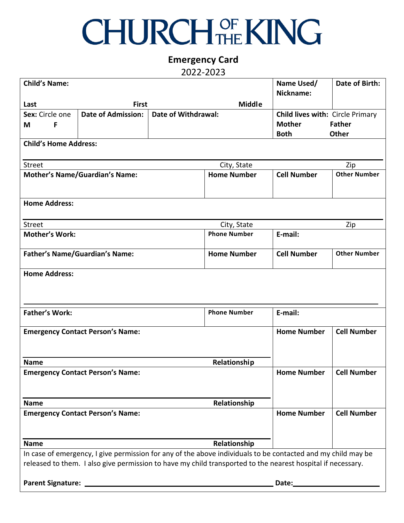## **CHURCH OF KING**

## **Emergency Card**

2022-2023

| <b>Child's Name:</b>                                                                                                                                                                                                        |                                         |                     |                     | Name Used/<br>Nickname:          | Date of Birth:      |  |  |
|-----------------------------------------------------------------------------------------------------------------------------------------------------------------------------------------------------------------------------|-----------------------------------------|---------------------|---------------------|----------------------------------|---------------------|--|--|
| Last                                                                                                                                                                                                                        | <b>First</b>                            |                     | <b>Middle</b>       |                                  |                     |  |  |
| Sex: Circle one                                                                                                                                                                                                             | <b>Date of Admission:</b>               | Date of Withdrawal: |                     | Child lives with: Circle Primary |                     |  |  |
| F<br>M                                                                                                                                                                                                                      |                                         |                     |                     | <b>Mother</b><br><b>Father</b>   |                     |  |  |
|                                                                                                                                                                                                                             |                                         |                     |                     | <b>Both</b>                      | <b>Other</b>        |  |  |
| <b>Child's Home Address:</b>                                                                                                                                                                                                |                                         |                     |                     |                                  |                     |  |  |
| Street                                                                                                                                                                                                                      |                                         |                     | City, State<br>Zip  |                                  |                     |  |  |
| <b>Mother's Name/Guardian's Name:</b>                                                                                                                                                                                       |                                         |                     | <b>Home Number</b>  | <b>Cell Number</b>               | <b>Other Number</b> |  |  |
| <b>Home Address:</b>                                                                                                                                                                                                        |                                         |                     |                     |                                  |                     |  |  |
| <b>Street</b>                                                                                                                                                                                                               |                                         |                     | City, State         | Zip                              |                     |  |  |
| <b>Mother's Work:</b>                                                                                                                                                                                                       |                                         |                     | <b>Phone Number</b> | E-mail:                          |                     |  |  |
|                                                                                                                                                                                                                             |                                         |                     |                     |                                  |                     |  |  |
| <b>Father's Name/Guardian's Name:</b>                                                                                                                                                                                       |                                         |                     | <b>Home Number</b>  | <b>Cell Number</b>               | <b>Other Number</b> |  |  |
| <b>Home Address:</b>                                                                                                                                                                                                        |                                         |                     |                     |                                  |                     |  |  |
| <b>Father's Work:</b>                                                                                                                                                                                                       |                                         |                     | <b>Phone Number</b> | E-mail:                          |                     |  |  |
|                                                                                                                                                                                                                             | <b>Emergency Contact Person's Name:</b> | <b>Home Number</b>  | <b>Cell Number</b>  |                                  |                     |  |  |
| Relationship<br><b>Name</b>                                                                                                                                                                                                 |                                         |                     |                     |                                  |                     |  |  |
| <b>Home Number</b><br><b>Cell Number</b><br><b>Emergency Contact Person's Name:</b>                                                                                                                                         |                                         |                     |                     |                                  |                     |  |  |
| Relationship<br><b>Name</b>                                                                                                                                                                                                 |                                         |                     |                     |                                  |                     |  |  |
|                                                                                                                                                                                                                             | <b>Emergency Contact Person's Name:</b> |                     |                     | <b>Home Number</b>               | <b>Cell Number</b>  |  |  |
| Relationship<br><b>Name</b>                                                                                                                                                                                                 |                                         |                     |                     |                                  |                     |  |  |
| In case of emergency, I give permission for any of the above individuals to be contacted and my child may be<br>released to them. I also give permission to have my child transported to the nearest hospital if necessary. |                                         |                     |                     |                                  |                     |  |  |
| Parent Signature: _                                                                                                                                                                                                         |                                         | Date:               |                     |                                  |                     |  |  |